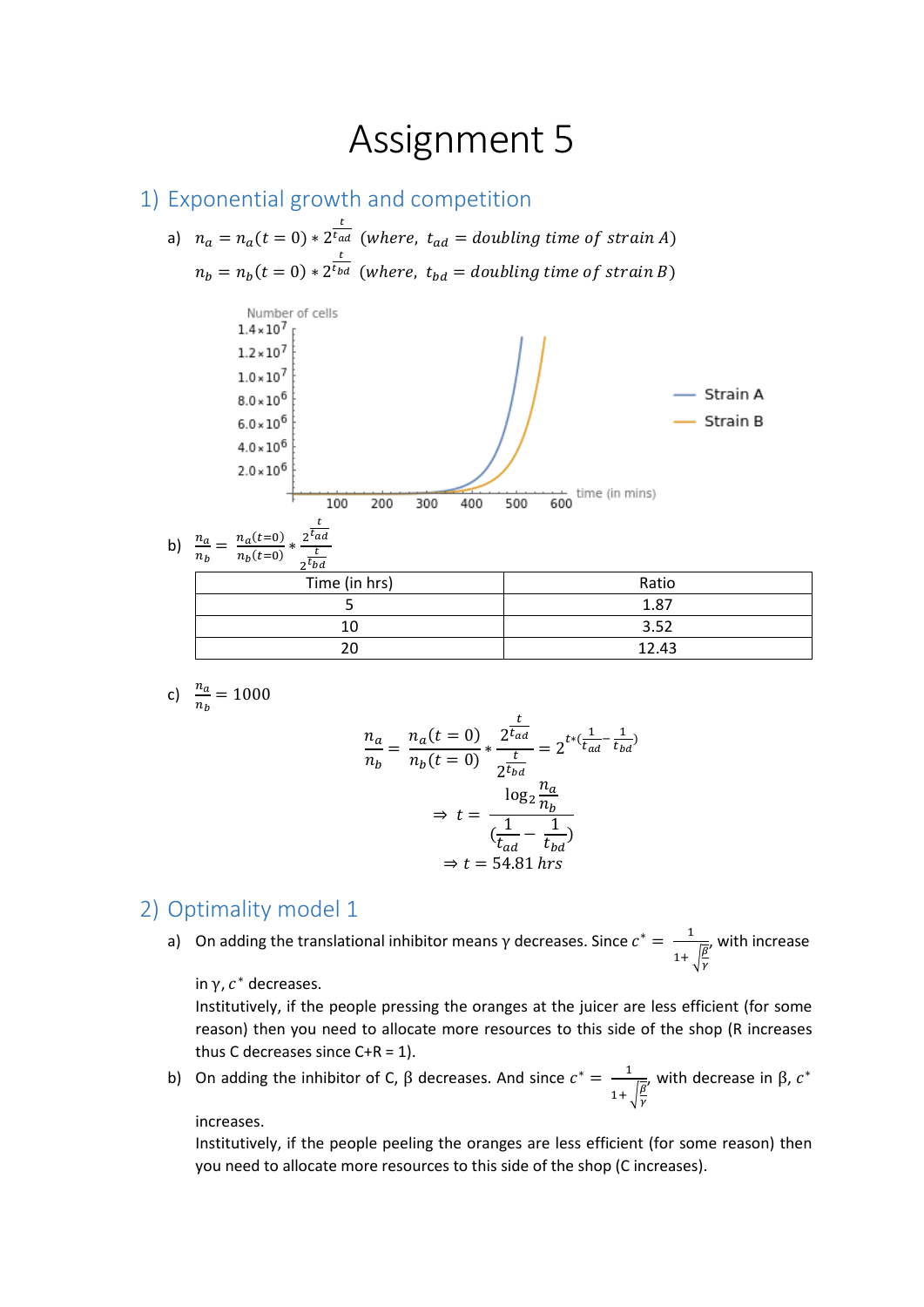## Assignment 5

## 1) Exponential growth and competition

a)  $n_a = n_a(t = 0) * 2^{\frac{t}{t_{ad}}}$  (where,  $t_{ad} =$  doubling time of strain A)  $n_b = n_b(t = 0) * 2$  $\frac{t}{t_{bd}}$  (where,  $t_{bd}$  = doubling time of strain B)



c) 
$$
\frac{n_a}{n_b} = 1000
$$

$$
\frac{n_a}{n_b} = \frac{n_a(t=0)}{n_b(t=0)} * \frac{2^{\frac{t}{t_{ad}}}}{2^{\frac{t}{t_{bd}}}} = 2^{t*(\frac{1}{t_{ad}} - \frac{1}{t_{bd}})}
$$

$$
\Rightarrow t = \frac{\log_2 \frac{n_a}{n_b}}{(\frac{1}{t_{ad}} - \frac{1}{t_{bd}})}
$$

$$
\Rightarrow t = 54.81 \text{ hrs}
$$

## 2) Optimality model 1

a) On adding the translational inhibitor means  $\gamma$  decreases. Since  $c^* = \frac{1}{\sqrt{2\pi}}$  $1+\sqrt{\frac{\beta}{\gamma}}$ , with increase

in  $\gamma$ ,  $c^*$  decreases.

Institutively, if the people pressing the oranges at the juicer are less efficient (for some reason) then you need to allocate more resources to this side of the shop (R increases thus C decreases since  $C+R = 1$ ).

b) On adding the inhibitor of C,  $\beta$  decreases. And since  $c^* = \frac{1}{\alpha}$  $1+\sqrt{\frac{\beta}{\gamma}}$ , with decrease in β,  $c^*$ 

## increases.

Institutively, if the people peeling the oranges are less efficient (for some reason) then you need to allocate more resources to this side of the shop (C increases).